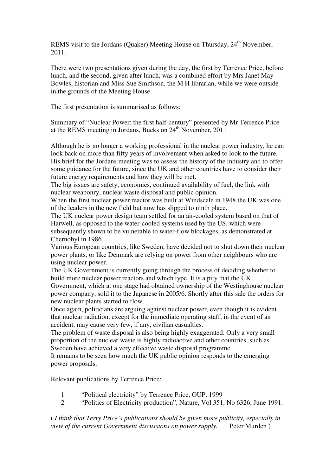REMS visit to the Jordans (Ouaker) Meeting House on Thursday,  $24<sup>th</sup>$  November, 2011.

There were two presentations given during the day, the first by Terrence Price, before lunch, and the second, given after lunch, was a combined effort by Mrs Janet May-Bowles, historian and Miss Sue Smithson, the M H librarian, while we were outside in the grounds of the Meeting House.

The first presentation is summarised as follows:

Summary of "Nuclear Power: the first half-century" presented by Mr Terrence Price at the REMS meeting in Jordans, Bucks on  $24<sup>th</sup>$  November, 2011

Although he is no longer a working professional in the nuclear power industry, he can look back on more than fifty years of involvement when asked to look to the future. His brief for the Jordans meeting was to assess the history of the industry and to offer some guidance for the future, since the UK and other countries have to consider their future energy requirements and how they will be met.

The big issues are safety, economics, continued availability of fuel, the link with nuclear weaponry, nuclear waste disposal and public opinion.

When the first nuclear power reactor was built at Windscale in 1948 the UK was one of the leaders in the new field but now has slipped to ninth place.

The UK nuclear power design team settled for an air-cooled system based on that of Harwell, as opposed to the water-cooled systems used by the US, which were subsequently shown to be vulnerable to water-flow blockages, as demonstrated at Chernobyl in 1986.

Various European countries, like Sweden, have decided not to shut down their nuclear power plants, or like Denmark are relying on power from other neighbours who are using nuclear power.

The UK Government is currently going through the process of deciding whether to build more nuclear power reactors and which type. It is a pity that the UK Government, which at one stage had obtained ownership of the Westinghouse nuclear power company, sold it to the Japanese in 2005/6. Shortly after this sale the orders for new nuclear plants started to flow.

Once again, politicians are arguing against nuclear power, even though it is evident that nuclear radiation, except for the immediate operating staff, in the event of an accident, may cause very few, if any, civilian casualties.

The problem of waste disposal is also being highly exaggerated. Only a very small proportion of the nuclear waste is highly radioactive and other countries, such as Sweden have achieved a very effective waste disposal programme.

It remains to be seen how much the UK public opinion responds to the emerging power proposals.

Relevant publications by Terrence Price:

- 1 "Political electricity" by Terrence Price, OUP, 1999
- 2 "Politics of Electricity production", Nature, Vol 351, No 6326, June 1991.

( *I think that Terry Price's publications should be given more publicity, especially in view of the current Government discussions on power supply.* Peter Murden )